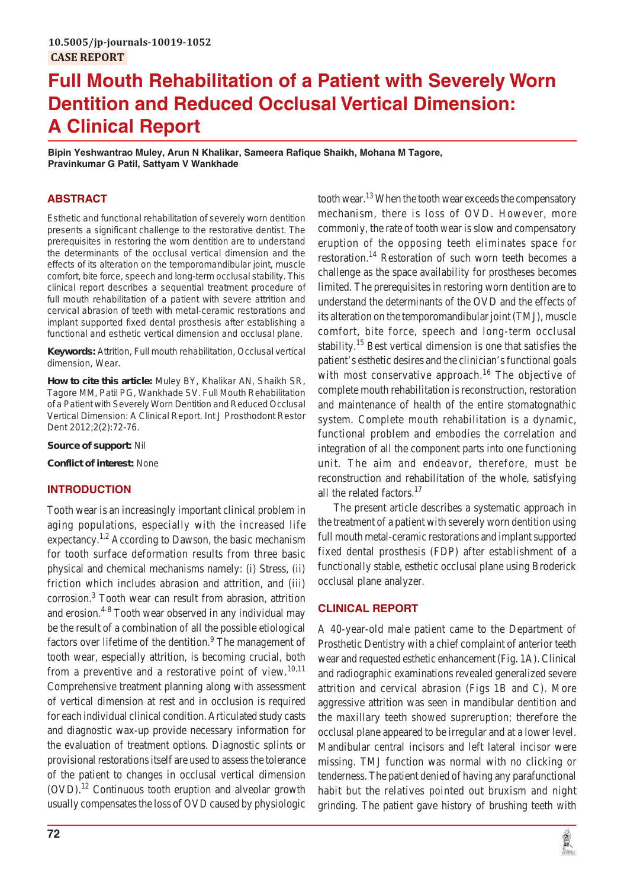# **Full Mouth Rehabilitation of a Patient with Severely Worn Dentition and Reduced Occlusal Vertical Dimension: A Clinical Report**

**Bipin Yeshwantrao Muley, Arun N Khalikar, Sameera Rafique Shaikh, Mohana M Tagore, Pravinkumar G Patil, Sattyam V Wankhade**

# **ABSTRACT**

Esthetic and functional rehabilitation of severely worn dentition presents a significant challenge to the restorative dentist. The prerequisites in restoring the worn dentition are to understand the determinants of the occlusal vertical dimension and the effects of its alteration on the temporomandibular joint, muscle comfort, bite force, speech and long-term occlusal stability. This clinical report describes a sequential treatment procedure of full mouth rehabilitation of a patient with severe attrition and cervical abrasion of teeth with metal-ceramic restorations and implant supported fixed dental prosthesis after establishing a functional and esthetic vertical dimension and occlusal plane.

**Keywords:** Attrition, Full mouth rehabilitation, Occlusal vertical dimension, Wear.

**How to cite this article:** Muley BY, Khalikar AN, Shaikh SR, Tagore MM, Patil PG, Wankhade SV. Full Mouth Rehabilitation of a Patient with Severely Worn Dentition and Reduced Occlusal Vertical Dimension: A Clinical Report. Int J Prosthodont Restor Dent 2012;2(2):72-76.

**Source of support:** Nil

**Conflict of interest:** None

# **INTRODUCTION**

Tooth wear is an increasingly important clinical problem in aging populations, especially with the increased life expectancy.<sup>1,2</sup> According to Dawson, the basic mechanism for tooth surface deformation results from three basic physical and chemical mechanisms namely: (i) Stress, (ii) friction which includes abrasion and attrition, and (iii) corrosion.3 Tooth wear can result from abrasion, attrition and erosion.<sup>4-8</sup> Tooth wear observed in any individual may be the result of a combination of all the possible etiological factors over lifetime of the dentition.<sup>9</sup> The management of tooth wear, especially attrition, is becoming crucial, both from a preventive and a restorative point of view.<sup>10,11</sup> Comprehensive treatment planning along with assessment of vertical dimension at rest and in occlusion is required for each individual clinical condition. Articulated study casts and diagnostic wax-up provide necessary information for the evaluation of treatment options. Diagnostic splints or provisional restorations itself are used to assess the tolerance of the patient to changes in occlusal vertical dimension  $(OVD)$ .<sup>12</sup> Continuous tooth eruption and alveolar growth usually compensates the loss of OVD caused by physiologic tooth wear.<sup>13</sup> When the tooth wear exceeds the compensatory mechanism, there is loss of OVD. However, more commonly, the rate of tooth wear is slow and compensatory eruption of the opposing teeth eliminates space for restoration.<sup>14</sup> Restoration of such worn teeth becomes a challenge as the space availability for prostheses becomes limited. The prerequisites in restoring worn dentition are to understand the determinants of the OVD and the effects of its alteration on the temporomandibular joint (TMJ), muscle comfort, bite force, speech and long-term occlusal stability.<sup>15</sup> Best vertical dimension is one that satisfies the patient's esthetic desires and the clinician's functional goals with most conservative approach.<sup>16</sup> The objective of complete mouth rehabilitation is reconstruction, restoration and maintenance of health of the entire stomatognathic system. Complete mouth rehabilitation is a dynamic, functional problem and embodies the correlation and integration of all the component parts into one functioning unit. The aim and endeavor, therefore, must be reconstruction and rehabilitation of the whole, satisfying all the related factors.<sup>17</sup>

The present article describes a systematic approach in the treatment of a patient with severely worn dentition using full mouth metal-ceramic restorations and implant supported fixed dental prosthesis (FDP) after establishment of a functionally stable, esthetic occlusal plane using Broderick occlusal plane analyzer.

# **CLINICAL REPORT**

A 40-year-old male patient came to the Department of Prosthetic Dentistry with a chief complaint of anterior teeth wear and requested esthetic enhancement (Fig. 1A). Clinical and radiographic examinations revealed generalized severe attrition and cervical abrasion (Figs 1B and C). More aggressive attrition was seen in mandibular dentition and the maxillary teeth showed supreruption; therefore the occlusal plane appeared to be irregular and at a lower level. Mandibular central incisors and left lateral incisor were missing. TMJ function was normal with no clicking or tenderness. The patient denied of having any parafunctional habit but the relatives pointed out bruxism and night grinding. The patient gave history of brushing teeth with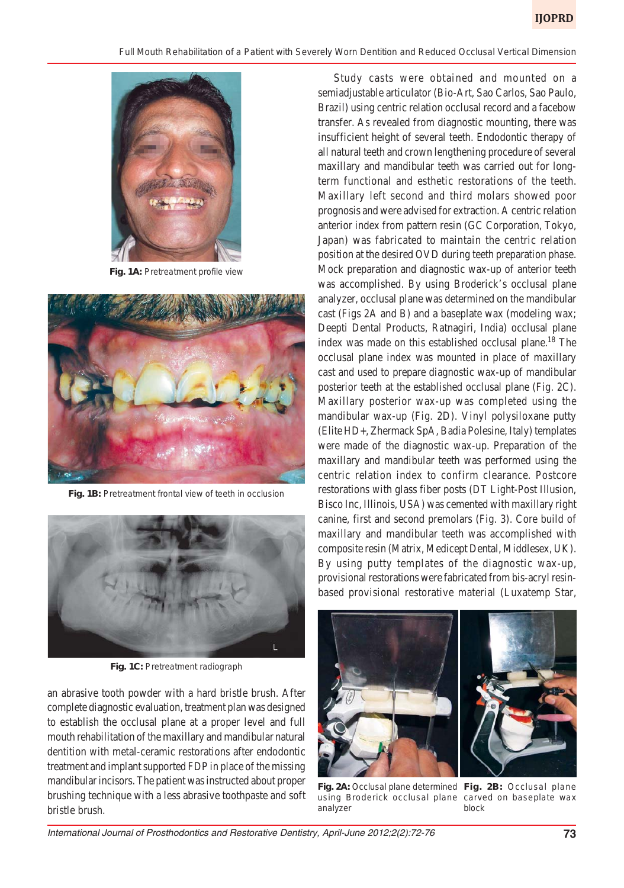

Fig. 1A: Pretreatment profile view



**Fig. 1B:** Pretreatment frontal view of teeth in occlusion



Fig. 1C: Pretreatment radiograph

an abrasive tooth powder with a hard bristle brush. After complete diagnostic evaluation, treatment plan was designed to establish the occlusal plane at a proper level and full mouth rehabilitation of the maxillary and mandibular natural dentition with metal-ceramic restorations after endodontic treatment and implant supported FDP in place of the missing mandibular incisors. The patient was instructed about proper brushing technique with a less abrasive toothpaste and soft bristle brush.

Study casts were obtained and mounted on a semiadjustable articulator (Bio-Art, Sao Carlos, Sao Paulo, Brazil) using centric relation occlusal record and a facebow transfer. As revealed from diagnostic mounting, there was insufficient height of several teeth. Endodontic therapy of all natural teeth and crown lengthening procedure of several maxillary and mandibular teeth was carried out for longterm functional and esthetic restorations of the teeth. Maxillary left second and third molars showed poor prognosis and were advised for extraction. A centric relation anterior index from pattern resin (GC Corporation, Tokyo, Japan) was fabricated to maintain the centric relation position at the desired OVD during teeth preparation phase. Mock preparation and diagnostic wax-up of anterior teeth was accomplished. By using Broderick's occlusal plane analyzer, occlusal plane was determined on the mandibular cast (Figs 2A and B) and a baseplate wax (modeling wax; Deepti Dental Products, Ratnagiri, India) occlusal plane index was made on this established occlusal plane.<sup>18</sup> The occlusal plane index was mounted in place of maxillary cast and used to prepare diagnostic wax-up of mandibular posterior teeth at the established occlusal plane (Fig. 2C). Maxillary posterior wax-up was completed using the mandibular wax-up (Fig. 2D). Vinyl polysiloxane putty (Elite HD+, Zhermack SpA, Badia Polesine, Italy) templates were made of the diagnostic wax-up. Preparation of the maxillary and mandibular teeth was performed using the centric relation index to confirm clearance. Postcore restorations with glass fiber posts (DT Light-Post Illusion, Bisco Inc, Illinois, USA) was cemented with maxillary right canine, first and second premolars (Fig. 3). Core build of maxillary and mandibular teeth was accomplished with composite resin (Matrix, Medicept Dental, Middlesex, UK). By using putty templates of the diagnostic wax-up, provisional restorations were fabricated from bis-acryl resinbased provisional restorative material (Luxatemp Star,





**Fig. 2A:** Occlusal plane determined **Fig. 2B:** Occlusal plane using Broderick occlusal plane carved on baseplate wax analyzer

block

International Journal of Prosthodontics and Restorative Dentistry, April-June 2012;2(2):72-76 **73**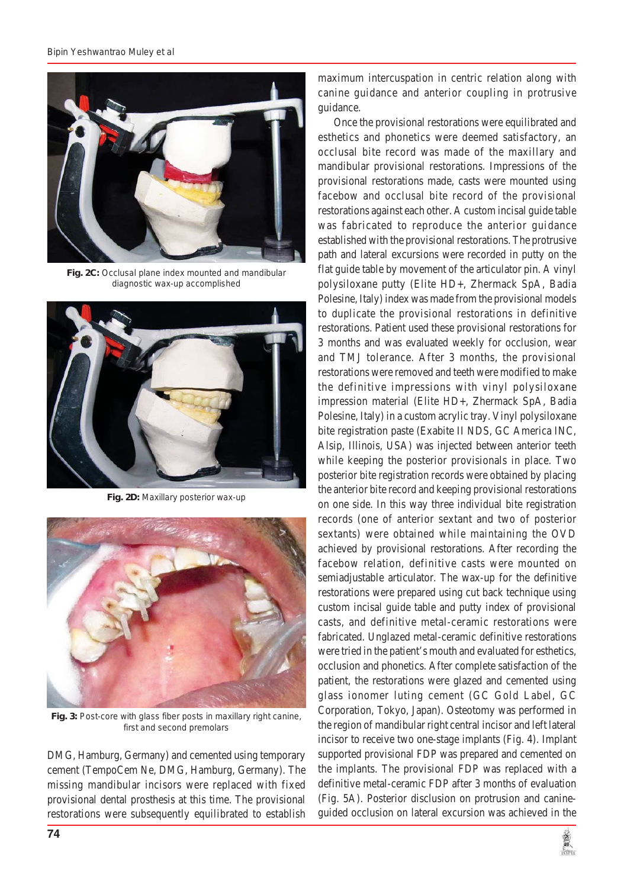

**Fig. 2C:** Occlusal plane index mounted and mandibular diagnostic wax-up accomplished



**Fig. 2D:** Maxillary posterior wax-up



**Fig. 3:** Post-core with glass fiber posts in maxillary right canine, first and second premolars

DMG, Hamburg, Germany) and cemented using temporary cement (TempoCem Ne, DMG, Hamburg, Germany). The missing mandibular incisors were replaced with fixed provisional dental prosthesis at this time. The provisional restorations were subsequently equilibrated to establish maximum intercuspation in centric relation along with canine guidance and anterior coupling in protrusive guidance.

Once the provisional restorations were equilibrated and esthetics and phonetics were deemed satisfactory, an occlusal bite record was made of the maxillary and mandibular provisional restorations. Impressions of the provisional restorations made, casts were mounted using facebow and occlusal bite record of the provisional restorations against each other. A custom incisal guide table was fabricated to reproduce the anterior guidance established with the provisional restorations. The protrusive path and lateral excursions were recorded in putty on the flat guide table by movement of the articulator pin. A vinyl polysiloxane putty (Elite HD+, Zhermack SpA, Badia Polesine, Italy) index was made from the provisional models to duplicate the provisional restorations in definitive restorations. Patient used these provisional restorations for 3 months and was evaluated weekly for occlusion, wear and TMJ tolerance. After 3 months, the provisional restorations were removed and teeth were modified to make the definitive impressions with vinyl polysiloxane impression material (Elite HD+, Zhermack SpA, Badia Polesine, Italy) in a custom acrylic tray. Vinyl polysiloxane bite registration paste (Exabite II NDS, GC America INC, Alsip, Illinois, USA) was injected between anterior teeth while keeping the posterior provisionals in place. Two posterior bite registration records were obtained by placing the anterior bite record and keeping provisional restorations on one side. In this way three individual bite registration records (one of anterior sextant and two of posterior sextants) were obtained while maintaining the OVD achieved by provisional restorations. After recording the facebow relation, definitive casts were mounted on semiadjustable articulator. The wax-up for the definitive restorations were prepared using cut back technique using custom incisal guide table and putty index of provisional casts, and definitive metal-ceramic restorations were fabricated. Unglazed metal-ceramic definitive restorations were tried in the patient's mouth and evaluated for esthetics, occlusion and phonetics. After complete satisfaction of the patient, the restorations were glazed and cemented using glass ionomer luting cement (GC Gold Label, GC Corporation, Tokyo, Japan). Osteotomy was performed in the region of mandibular right central incisor and left lateral incisor to receive two one-stage implants (Fig. 4). Implant supported provisional FDP was prepared and cemented on the implants. The provisional FDP was replaced with a definitive metal-ceramic FDP after 3 months of evaluation (Fig. 5A). Posterior disclusion on protrusion and canineguided occlusion on lateral excursion was achieved in the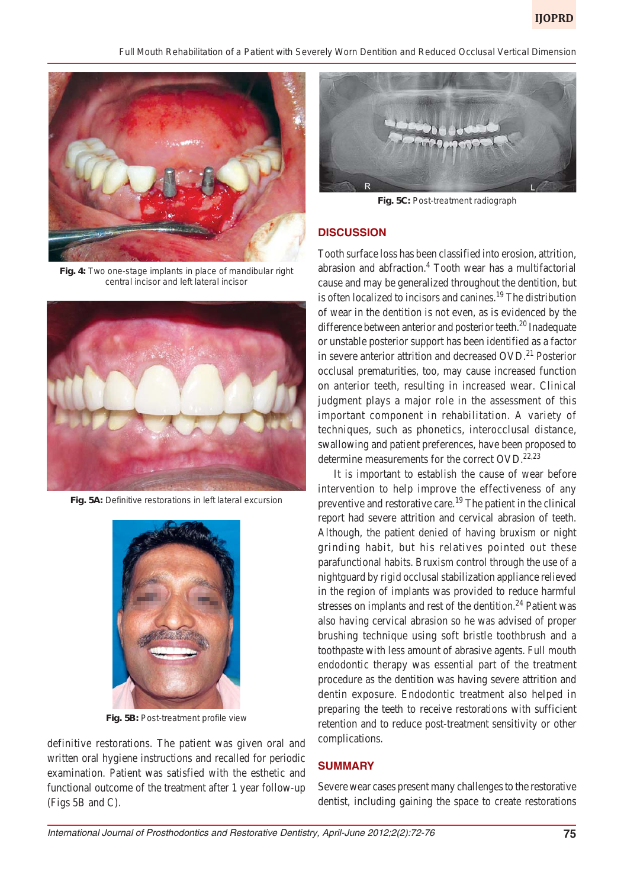*Full Mouth Rehabilitation of a Patient with Severely Worn Dentition and Reduced Occlusal Vertical Dimension*



**Fig. 4:** Two one-stage implants in place of mandibular right central incisor and left lateral incisor



**Fig. 5A:** Definitive restorations in left lateral excursion



**Fig. 5B:** Post-treatment profile view

definitive restorations. The patient was given oral and written oral hygiene instructions and recalled for periodic examination. Patient was satisfied with the esthetic and functional outcome of the treatment after 1 year follow-up (Figs 5B and C).



**Fig. 5C:** Post-treatment radiograph

# **DISCUSSION**

Tooth surface loss has been classified into erosion, attrition, abrasion and abfraction.<sup>4</sup> Tooth wear has a multifactorial cause and may be generalized throughout the dentition, but is often localized to incisors and canines.<sup>19</sup> The distribution of wear in the dentition is not even, as is evidenced by the difference between anterior and posterior teeth.<sup>20</sup> Inadequate or unstable posterior support has been identified as a factor in severe anterior attrition and decreased  $OVD<sup>21</sup>$  Posterior occlusal prematurities, too, may cause increased function on anterior teeth, resulting in increased wear. Clinical judgment plays a major role in the assessment of this important component in rehabilitation. A variety of techniques, such as phonetics, interocclusal distance, swallowing and patient preferences, have been proposed to determine measurements for the correct  $OVD$ .<sup>22,23</sup>

It is important to establish the cause of wear before intervention to help improve the effectiveness of any preventive and restorative care.<sup>19</sup> The patient in the clinical report had severe attrition and cervical abrasion of teeth. Although, the patient denied of having bruxism or night grinding habit, but his relatives pointed out these parafunctional habits. Bruxism control through the use of a nightguard by rigid occlusal stabilization appliance relieved in the region of implants was provided to reduce harmful stresses on implants and rest of the dentition.<sup>24</sup> Patient was also having cervical abrasion so he was advised of proper brushing technique using soft bristle toothbrush and a toothpaste with less amount of abrasive agents. Full mouth endodontic therapy was essential part of the treatment procedure as the dentition was having severe attrition and dentin exposure. Endodontic treatment also helped in preparing the teeth to receive restorations with sufficient retention and to reduce post-treatment sensitivity or other complications.

## **SUMMARY**

Severe wear cases present many challenges to the restorative dentist, including gaining the space to create restorations